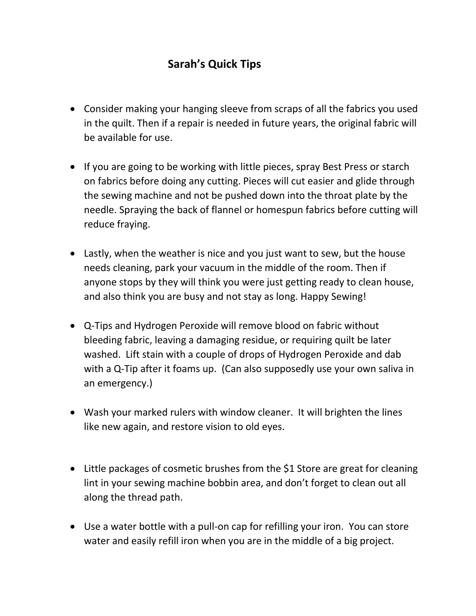## **Sarah's Quick Tips**

- Consider making your hanging sleeve from scraps of all the fabrics you used in the quilt. Then if a repair is needed in future years, the original fabric will be available for use.
- If you are going to be working with little pieces, spray Best Press or starch on fabrics before doing any cutting. Pieces will cut easier and glide through the sewing machine and not be pushed down into the throat plate by the needle. Spraying the back of flannel or homespun fabrics before cutting will reduce fraying.
- Lastly, when the weather is nice and you just want to sew, but the house needs cleaning, park your vacuum in the middle of the room. Then if anyone stops by they will think you were just getting ready to clean house, and also think you are busy and not stay as long. Happy Sewing!
- Q-Tips and Hydrogen Peroxide will remove blood on fabric without bleeding fabric, leaving a damaging residue, or requiring quilt be later washed. Lift stain with a couple of drops of Hydrogen Peroxide and dab with a Q-Tip after it foams up. (Can also supposedly use your own saliva in an emergency.)
- Wash your marked rulers with window cleaner. It will brighten the lines like new again, and restore vision to old eyes.
- Little packages of cosmetic brushes from the \$1 Store are great for cleaning lint in your sewing machine bobbin area, and don't forget to clean out all along the thread path.
- Use a water bottle with a pull-on cap for refilling your iron. You can store water and easily refill iron when you are in the middle of a big project.